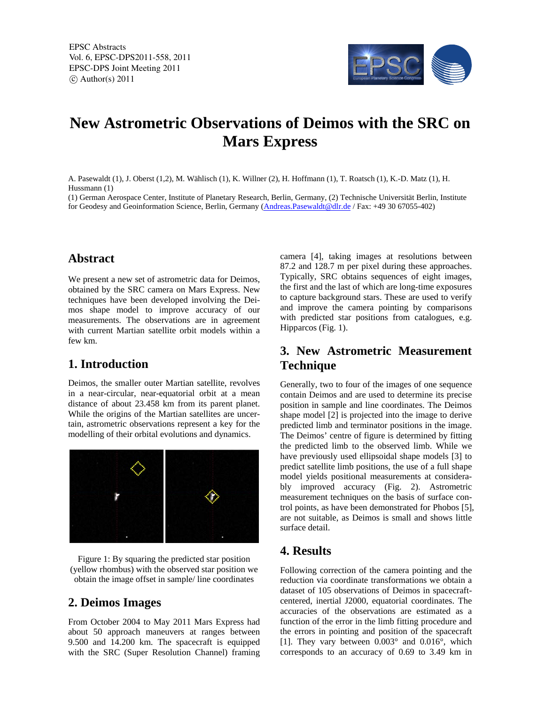EPSC Abstracts Vol. 6, EPSC-DPS2011-558, 2011 EPSC-DPS Joint Meeting 2011  $\circ$  Author(s) 2011



# **New Astrometric Observations of Deimos with the SRC on Mars Express**

A. Pasewaldt (1), J. Oberst (1,2), M. Wählisch (1), K. Willner (2), H. Hoffmann (1), T. Roatsch (1), K.-D. Matz (1), H. Hussmann (1)

(1) German Aerospace Center, Institute of Planetary Research, Berlin, Germany, (2) Technische Universität Berlin, Institute for Geodesy and Geoinformation Science, Berlin, Germany (Andreas.Pasewaldt@dlr.de / Fax: +49 30 67055-402)

#### **Abstract**

We present a new set of astrometric data for Deimos, obtained by the SRC camera on Mars Express. New techniques have been developed involving the Deimos shape model to improve accuracy of our measurements. The observations are in agreement with current Martian satellite orbit models within a few km.

### **1. Introduction**

Deimos, the smaller outer Martian satellite, revolves in a near-circular, near-equatorial orbit at a mean distance of about 23.458 km from its parent planet. While the origins of the Martian satellites are uncertain, astrometric observations represent a key for the modelling of their orbital evolutions and dynamics.



Figure 1: By squaring the predicted star position (yellow rhombus) with the observed star position we obtain the image offset in sample/ line coordinates

## **2. Deimos Images**

From October 2004 to May 2011 Mars Express had about 50 approach maneuvers at ranges between 9.500 and 14.200 km. The spacecraft is equipped with the SRC (Super Resolution Channel) framing

camera [4], taking images at resolutions between 87.2 and 128.7 m per pixel during these approaches. Typically, SRC obtains sequences of eight images, the first and the last of which are long-time exposures to capture background stars. These are used to verify and improve the camera pointing by comparisons with predicted star positions from catalogues, e.g. Hipparcos (Fig. 1).

## **3. New Astrometric Measurement Technique**

Generally, two to four of the images of one sequence contain Deimos and are used to determine its precise position in sample and line coordinates. The Deimos shape model [2] is projected into the image to derive predicted limb and terminator positions in the image. The Deimos' centre of figure is determined by fitting the predicted limb to the observed limb. While we have previously used ellipsoidal shape models [3] to predict satellite limb positions, the use of a full shape model yields positional measurements at considerably improved accuracy (Fig. 2). Astrometric measurement techniques on the basis of surface control points, as have been demonstrated for Phobos [5], are not suitable, as Deimos is small and shows little surface detail.

## **4. Results**

Following correction of the camera pointing and the reduction via coordinate transformations we obtain a dataset of 105 observations of Deimos in spacecraftcentered, inertial J2000, equatorial coordinates. The accuracies of the observations are estimated as a function of the error in the limb fitting procedure and the errors in pointing and position of the spacecraft [1]. They vary between 0.003° and 0.016°, which corresponds to an accuracy of 0.69 to 3.49 km in